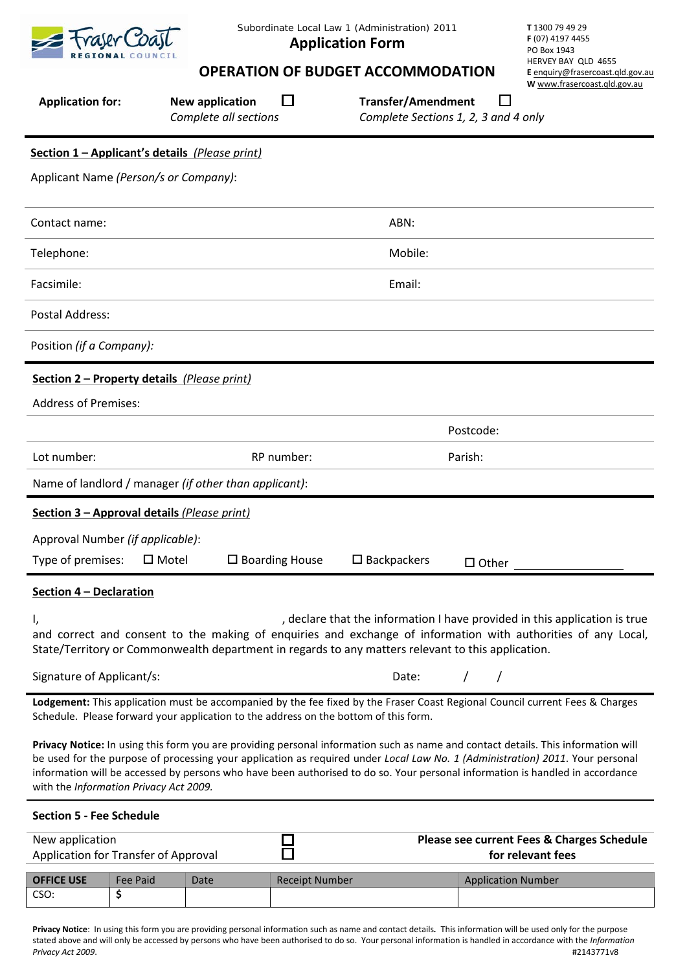

*Subordinate Local Law 1 (Administration) 2011* **Application Form**

**T** 1300 79 49 29 **F** (07) 4197 4455 PO Box 1943 HERVEY BAY QLD 4655 **E** [enquiry@frasercoast.qld.gov.au](mailto:enquiry@frasercoast.qld.gov.au) **W** [www.frasercoast.qld.gov.au](http://www.frasercoast.qld.gov.au/)

# **OPERATION OF BUDGET ACCOMMODATION**

| <b>Application for:</b>                     | <b>New application</b><br>Complete all sections       | <b>Transfer/Amendment</b>                                                                                                                                                                                                                                                                                                                                                                           | Complete Sections 1, 2, 3 and 4 only       | W www.frasercoast.gld.gov.au |
|---------------------------------------------|-------------------------------------------------------|-----------------------------------------------------------------------------------------------------------------------------------------------------------------------------------------------------------------------------------------------------------------------------------------------------------------------------------------------------------------------------------------------------|--------------------------------------------|------------------------------|
|                                             | Section 1 - Applicant's details (Please print)        |                                                                                                                                                                                                                                                                                                                                                                                                     |                                            |                              |
| Applicant Name (Person/s or Company):       |                                                       |                                                                                                                                                                                                                                                                                                                                                                                                     |                                            |                              |
| Contact name:                               |                                                       | ABN:                                                                                                                                                                                                                                                                                                                                                                                                |                                            |                              |
| Telephone:                                  |                                                       | Mobile:                                                                                                                                                                                                                                                                                                                                                                                             |                                            |                              |
| Facsimile:                                  |                                                       | Email:                                                                                                                                                                                                                                                                                                                                                                                              |                                            |                              |
| Postal Address:                             |                                                       |                                                                                                                                                                                                                                                                                                                                                                                                     |                                            |                              |
| Position (if a Company):                    |                                                       |                                                                                                                                                                                                                                                                                                                                                                                                     |                                            |                              |
| Section 2 - Property details (Please print) |                                                       |                                                                                                                                                                                                                                                                                                                                                                                                     |                                            |                              |
| <b>Address of Premises:</b>                 |                                                       |                                                                                                                                                                                                                                                                                                                                                                                                     |                                            |                              |
|                                             |                                                       |                                                                                                                                                                                                                                                                                                                                                                                                     | Postcode:                                  |                              |
| Lot number:                                 | RP number:                                            |                                                                                                                                                                                                                                                                                                                                                                                                     | Parish:                                    |                              |
|                                             | Name of landlord / manager (if other than applicant): |                                                                                                                                                                                                                                                                                                                                                                                                     |                                            |                              |
| Section 3 - Approval details (Please print) |                                                       |                                                                                                                                                                                                                                                                                                                                                                                                     |                                            |                              |
| Approval Number (if applicable):            |                                                       |                                                                                                                                                                                                                                                                                                                                                                                                     |                                            |                              |
| Type of premises:                           | $\square$ Boarding House<br>$\square$ Motel           | $\square$ Backpackers                                                                                                                                                                                                                                                                                                                                                                               | $\Box$ Other                               |                              |
| Section 4 - Declaration                     |                                                       |                                                                                                                                                                                                                                                                                                                                                                                                     |                                            |                              |
| I,                                          |                                                       | , declare that the information I have provided in this application is true<br>and correct and consent to the making of enquiries and exchange of information with authorities of any Local,<br>State/Territory or Commonwealth department in regards to any matters relevant to this application.                                                                                                   |                                            |                              |
| Signature of Applicant/s:                   |                                                       | Date:                                                                                                                                                                                                                                                                                                                                                                                               |                                            |                              |
|                                             |                                                       | Lodgement: This application must be accompanied by the fee fixed by the Fraser Coast Regional Council current Fees & Charges<br>Schedule. Please forward your application to the address on the bottom of this form.                                                                                                                                                                                |                                            |                              |
| with the Information Privacy Act 2009.      |                                                       | Privacy Notice: In using this form you are providing personal information such as name and contact details. This information will<br>be used for the purpose of processing your application as required under Local Law No. 1 (Administration) 2011. Your personal<br>information will be accessed by persons who have been authorised to do so. Your personal information is handled in accordance |                                            |                              |
| <b>Section 5 - Fee Schedule</b>             |                                                       |                                                                                                                                                                                                                                                                                                                                                                                                     |                                            |                              |
| New application                             |                                                       |                                                                                                                                                                                                                                                                                                                                                                                                     | Please see current Fees & Charges Schedule |                              |

Application for Transfer of Approval **for relevant fees OFFICE USE** Fee Paid Date Receipt Number Application Number CSO: **\$**

Ō

**Privacy Notice**: In using this form you are providing personal information such as name and contact details*.* This information will be used only for the purpose stated above and will only be accessed by persons who have been authorised to do so. Your personal information is handled in accordance with the *Information*  Privacy Act 2009.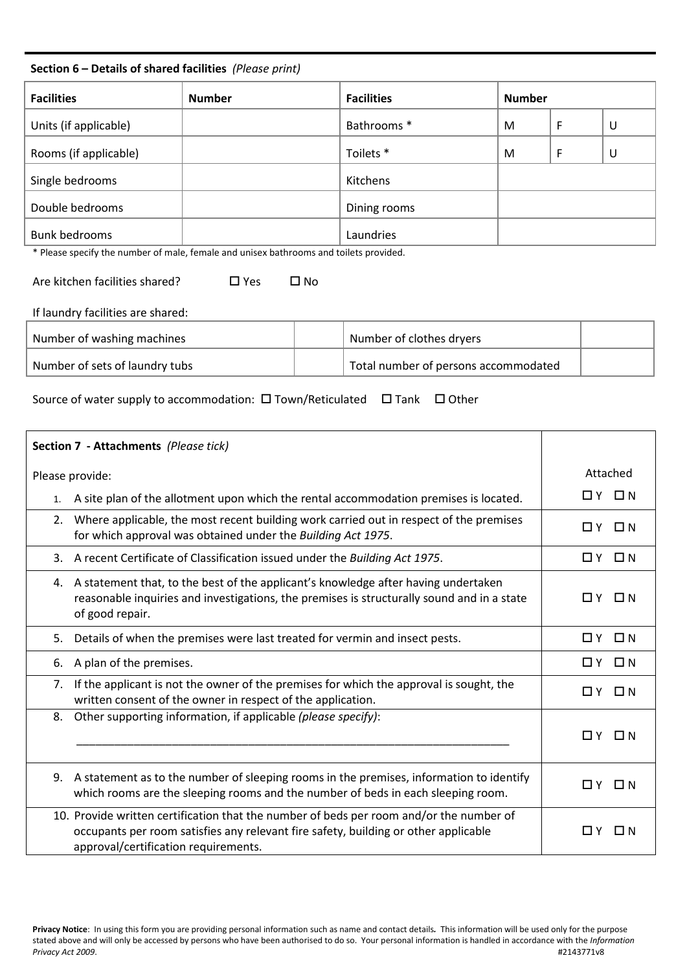# **Section 6 – Details of shared facilities** *(Please print)*

| <b>Facilities</b>     | <b>Number</b> | <b>Facilities</b> | <b>Number</b> |   |   |
|-----------------------|---------------|-------------------|---------------|---|---|
| Units (if applicable) |               | Bathrooms *       | M             | F | U |
| Rooms (if applicable) |               | Toilets *         | M             | F | U |
| Single bedrooms       |               | Kitchens          |               |   |   |
| Double bedrooms       |               | Dining rooms      |               |   |   |
| <b>Bunk bedrooms</b>  |               | Laundries         |               |   |   |

\* Please specify the number of male, female and unisex bathrooms and toilets provided.

Are kitchen facilities shared?  $\Box$  Yes  $\Box$  No

If laundry facilities are shared:

| Number of washing machines     | Number of clothes dryers             |  |
|--------------------------------|--------------------------------------|--|
| Number of sets of laundry tubs | Total number of persons accommodated |  |

Source of water supply to accommodation:  $\square$  Town/Reticulated  $\square$  Tank  $\square$  Other

| Section 7 - Attachments (Please tick)                                                                                                                                                                                  |                       |
|------------------------------------------------------------------------------------------------------------------------------------------------------------------------------------------------------------------------|-----------------------|
| Please provide:                                                                                                                                                                                                        | Attached              |
| A site plan of the allotment upon which the rental accommodation premises is located.<br>1.                                                                                                                            | $\Box$ $Y$ $\Box$ $N$ |
| Where applicable, the most recent building work carried out in respect of the premises<br>2.<br>for which approval was obtained under the Building Act 1975.                                                           | ΠY.<br>□ N            |
| A recent Certificate of Classification issued under the Building Act 1975.<br>3.                                                                                                                                       | OY ON                 |
| A statement that, to the best of the applicant's knowledge after having undertaken<br>4.<br>reasonable inquiries and investigations, the premises is structurally sound and in a state<br>of good repair.              | OY ON                 |
| Details of when the premises were last treated for vermin and insect pests.<br>5.                                                                                                                                      | $\Box$ $Y$ $\Box$ $N$ |
| A plan of the premises.<br>6.                                                                                                                                                                                          | OY ON                 |
| If the applicant is not the owner of the premises for which the approval is sought, the<br>7.<br>written consent of the owner in respect of the application.                                                           | $\Box$ N<br>ΠY.       |
| Other supporting information, if applicable (please specify):<br>8.                                                                                                                                                    | $\Box$ Y $\Box$ N     |
| A statement as to the number of sleeping rooms in the premises, information to identify<br>9.<br>which rooms are the sleeping rooms and the number of beds in each sleeping room.                                      | $\Box$ $Y$ $\Box$ $N$ |
| 10. Provide written certification that the number of beds per room and/or the number of<br>occupants per room satisfies any relevant fire safety, building or other applicable<br>approval/certification requirements. | ΠY.<br>D N            |

**Privacy Notice**: In using this form you are providing personal information such as name and contact details*.* This information will be used only for the purpose stated above and will only be accessed by persons who have been authorised to do so. Your personal information is handled in accordance with the *Information*  Privacy Act 2009.